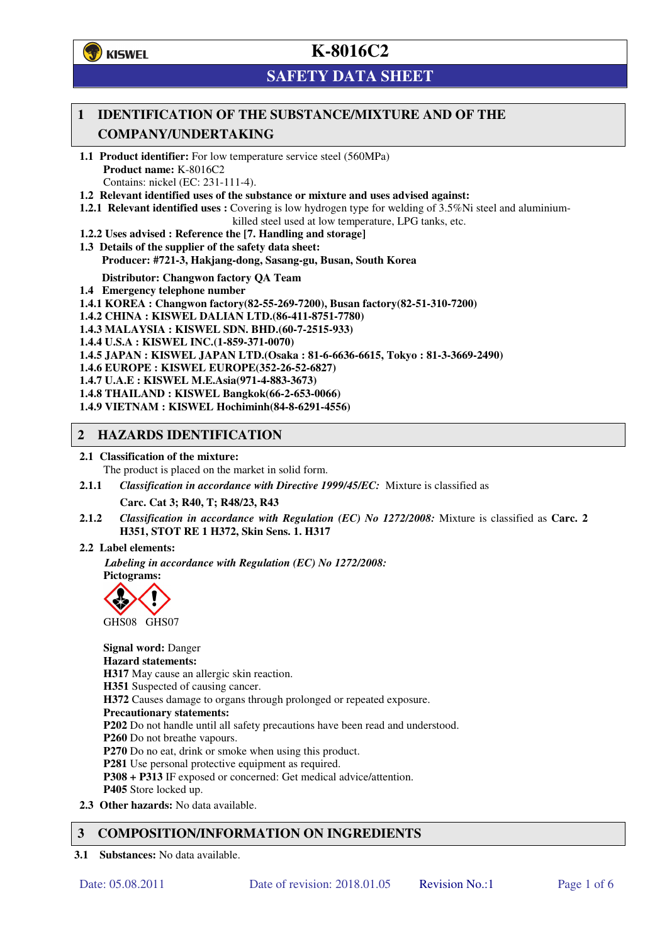**学**)KISWEL

# **K-8016C2**

# **SAFETY DATA SHEET**

## **1 IDENTIFICATION OF THE SUBSTANCE/MIXTURE AND OF THE COMPANY/UNDERTAKING**

- **1.1 Product identifier:** For low temperature service steel (560MPa) **Product name:** K-8016C2 Contains: nickel (EC: 231-111-4).
- **1.2 Relevant identified uses of the substance or mixture and uses advised against:**
- **1.2.1 Relevant identified uses :** Covering is low hydrogen type for welding of 3.5%Ni steel and aluminiumkilled steel used at low temperature, LPG tanks, etc.
- **1.2.2 Uses advised : Reference the [7. Handling and storage]**
- **1.3 Details of the supplier of the safety data sheet: Producer: #721-3, Hakjang-dong, Sasang-gu, Busan, South Korea**

**Distributor: Changwon factory QA Team** 

- **1.4 Emergency telephone number**
- **1.4.1 KOREA : Changwon factory(82-55-269-7200), Busan factory(82-51-310-7200)**
- **1.4.2 CHINA : KISWEL DALIAN LTD.(86-411-8751-7780)**
- **1.4.3 MALAYSIA : KISWEL SDN. BHD.(60-7-2515-933)**
- **1.4.4 U.S.A : KISWEL INC.(1-859-371-0070)**
- **1.4.5 JAPAN : KISWEL JAPAN LTD.(Osaka : 81-6-6636-6615, Tokyo : 81-3-3669-2490)**
- **1.4.6 EUROPE : KISWEL EUROPE(352-26-52-6827)**
- **1.4.7 U.A.E : KISWEL M.E.Asia(971-4-883-3673)**
- **1.4.8 THAILAND : KISWEL Bangkok(66-2-653-0066)**
- **1.4.9 VIETNAM : KISWEL Hochiminh(84-8-6291-4556)**

### **2 HAZARDS IDENTIFICATION**

- **2.1 Classification of the mixture:** 
	- The product is placed on the market in solid form.
- **2.1.1** *Classification in accordance with Directive 1999/45/EC:* Mixture is classified as

**Carc. Cat 3; R40, T; R48/23, R43** 

- **2.1.2** *Classification in accordance with Regulation (EC) No 1272/2008:* Mixture is classified as **Carc. 2 H351, STOT RE 1 H372, Skin Sens. 1. H317**
- **2.2 Label elements:**

*Labeling in accordance with Regulation (EC) No 1272/2008:*  **Pictograms:** 



**Signal word:** Danger **Hazard statements: H317** May cause an allergic skin reaction. **H351** Suspected of causing cancer. **H372** Causes damage to organs through prolonged or repeated exposure. **Precautionary statements: P202** Do not handle until all safety precautions have been read and understood. **P260** Do not breathe vapours. **P270** Do no eat, drink or smoke when using this product. **P281** Use personal protective equipment as required. **P308 + P313** IF exposed or concerned: Get medical advice/attention. **P405** Store locked up. **2.3 Other hazards:** No data available.

### **3 COMPOSITION/INFORMATION ON INGREDIENTS**

**3.1 Substances:** No data available.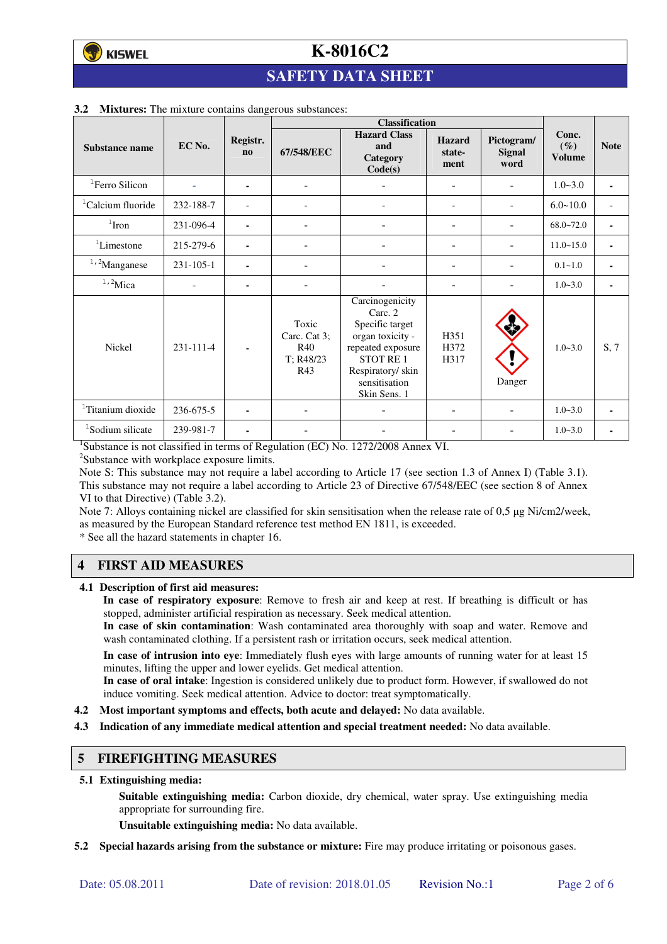# **SAFETY DATA SHEET**

|                               |           |                                    | <b>Classification</b>                            |                                                                                                                                                                |                                 |                              |                                  |                          |
|-------------------------------|-----------|------------------------------------|--------------------------------------------------|----------------------------------------------------------------------------------------------------------------------------------------------------------------|---------------------------------|------------------------------|----------------------------------|--------------------------|
| Substance name                | EC No.    | Registr.<br>$\mathbf{n}\mathbf{o}$ | 67/548/EEC                                       | <b>Hazard Class</b><br>and<br>Category<br>Code(s)                                                                                                              | <b>Hazard</b><br>state-<br>ment | Pictogram/<br>Signal<br>word | Conc.<br>$(\%)$<br><b>Volume</b> | <b>Note</b>              |
| <sup>1</sup> Ferro Silicon    |           | ۰                                  | $\overline{\phantom{a}}$                         |                                                                                                                                                                |                                 |                              | $1.0 - 3.0$                      | $\blacksquare$           |
| <sup>1</sup> Calcium fluoride | 232-188-7 |                                    |                                                  |                                                                                                                                                                | $\overline{a}$                  |                              | $6.0 - 10.0$                     | $\overline{\phantom{a}}$ |
| $1$ Iron                      | 231-096-4 | ۰                                  |                                                  |                                                                                                                                                                |                                 |                              | $68.0 - 72.0$                    | $\blacksquare$           |
| <sup>1</sup> Limestone        | 215-279-6 | ۰                                  | ٠                                                |                                                                                                                                                                | ۰                               |                              | $11.0 - 15.0$                    | ٠                        |
| $1,2$ Manganese               | 231-105-1 |                                    |                                                  |                                                                                                                                                                |                                 | ۰                            | $0.1 - 1.0$                      | $\blacksquare$           |
| $1,2$ Mica                    |           | ۰                                  |                                                  |                                                                                                                                                                |                                 |                              | $1.0 - 3.0$                      | ٠                        |
| Nickel                        | 231-111-4 |                                    | Toxic<br>Carc. Cat 3;<br>R40<br>T: R48/23<br>R43 | Carcinogenicity<br>Carc. 2<br>Specific target<br>organ toxicity -<br>repeated exposure<br><b>STOT RE1</b><br>Respiratory/skin<br>sensitisation<br>Skin Sens. 1 | H351<br>H372<br>H317            | Danger                       | $1.0 - 3.0$                      | S, 7                     |
| <sup>1</sup> Titanium dioxide | 236-675-5 |                                    |                                                  |                                                                                                                                                                |                                 |                              | $1.0 - 3.0$                      | $\blacksquare$           |
| <sup>1</sup> Sodium silicate  | 239-981-7 | ۰                                  |                                                  |                                                                                                                                                                |                                 |                              | $1.0 - 3.0$                      |                          |

#### **3.2 Mixtures:** The mixture contains dangerous substances:

<sup>1</sup>Substance is not classified in terms of Regulation (EC) No. 1272/2008 Annex VI.

<sup>2</sup>Substance with workplace exposure limits.

Note S: This substance may not require a label according to Article 17 (see section 1.3 of Annex I) (Table 3.1). This substance may not require a label according to Article 23 of Directive 67/548/EEC (see section 8 of Annex VI to that Directive) (Table 3.2).

Note 7: Alloys containing nickel are classified for skin sensitisation when the release rate of 0,5 µg Ni/cm2/week, as measured by the European Standard reference test method EN 1811, is exceeded.

\* See all the hazard statements in chapter 16.

#### **4 FIRST AID MEASURES**

**4.1 Description of first aid measures:** 

**In case of respiratory exposure**: Remove to fresh air and keep at rest. If breathing is difficult or has stopped, administer artificial respiration as necessary. Seek medical attention.

**In case of skin contamination**: Wash contaminated area thoroughly with soap and water. Remove and wash contaminated clothing. If a persistent rash or irritation occurs, seek medical attention.

 **In case of intrusion into eye**: Immediately flush eyes with large amounts of running water for at least 15 minutes, lifting the upper and lower eyelids. Get medical attention.

**In case of oral intake**: Ingestion is considered unlikely due to product form. However, if swallowed do not induce vomiting. Seek medical attention. Advice to doctor: treat symptomatically.

- **4.2 Most important symptoms and effects, both acute and delayed:** No data available.
- **4.3 Indication of any immediate medical attention and special treatment needed:** No data available.

#### **5 FIREFIGHTING MEASURES**

**5.1 Extinguishing media:** 

**Suitable extinguishing media:** Carbon dioxide, dry chemical, water spray. Use extinguishing media appropriate for surrounding fire.

**Unsuitable extinguishing media:** No data available.

**5.2 Special hazards arising from the substance or mixture:** Fire may produce irritating or poisonous gases.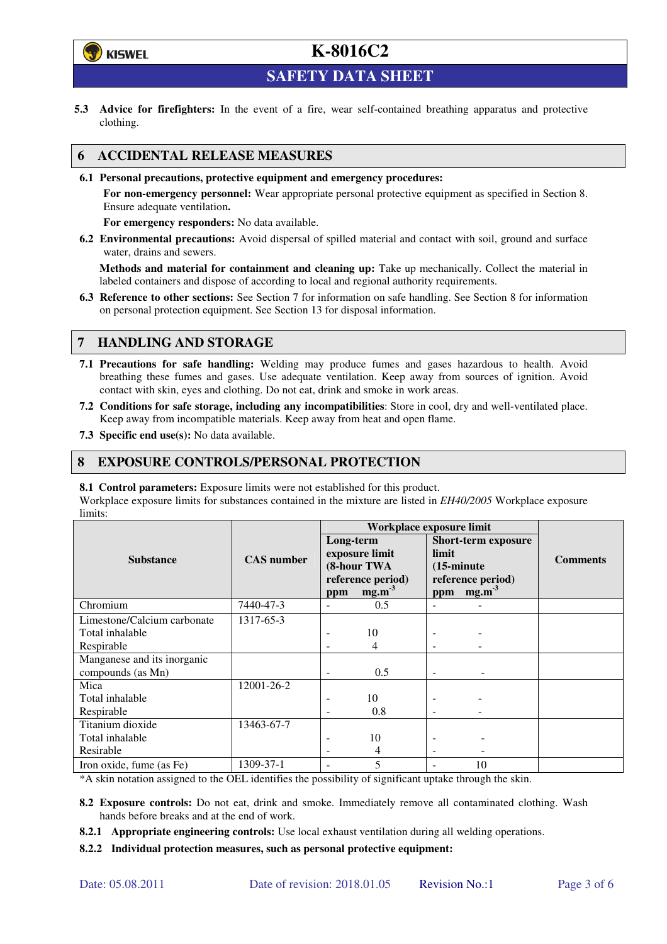

**SAFETY DATA SHEET** 

**5.3 Advice for firefighters:** In the event of a fire, wear self-contained breathing apparatus and protective clothing.

### **6 ACCIDENTAL RELEASE MEASURES**

**6.1 Personal precautions, protective equipment and emergency procedures:** 

**For non-emergency personnel:** Wear appropriate personal protective equipment as specified in Section 8. Ensure adequate ventilation**.** 

**For emergency responders:** No data available.

**6.2 Environmental precautions:** Avoid dispersal of spilled material and contact with soil, ground and surface water, drains and sewers.

**Methods and material for containment and cleaning up:** Take up mechanically. Collect the material in labeled containers and dispose of according to local and regional authority requirements.

**6.3 Reference to other sections:** See Section 7 for information on safe handling. See Section 8 for information on personal protection equipment. See Section 13 for disposal information.

### **7 HANDLING AND STORAGE**

- **7.1 Precautions for safe handling:** Welding may produce fumes and gases hazardous to health. Avoid breathing these fumes and gases. Use adequate ventilation. Keep away from sources of ignition. Avoid contact with skin, eyes and clothing. Do not eat, drink and smoke in work areas.
- **7.2 Conditions for safe storage, including any incompatibilities**: Store in cool, dry and well-ventilated place. Keep away from incompatible materials. Keep away from heat and open flame.
- **7.3 Specific end use(s):** No data available.

#### **8 EXPOSURE CONTROLS/PERSONAL PROTECTION**

**8.1 Control parameters:** Exposure limits were not established for this product.

Workplace exposure limits for substances contained in the mixture are listed in *EH40/2005* Workplace exposure limits:

|                             | <b>CAS</b> number | Workplace exposure limit                   |                   |                                                             |                   |                 |  |
|-----------------------------|-------------------|--------------------------------------------|-------------------|-------------------------------------------------------------|-------------------|-----------------|--|
|                             |                   | Long-term<br>exposure limit<br>(8-hour TWA |                   | <b>Short-term exposure</b><br>limit<br>$(15\text{-minute})$ |                   | <b>Comments</b> |  |
| <b>Substance</b>            |                   |                                            |                   |                                                             |                   |                 |  |
|                             |                   |                                            |                   |                                                             |                   |                 |  |
|                             |                   |                                            | reference period) |                                                             | reference period) |                 |  |
|                             |                   | ppm                                        | mg.m <sup>3</sup> | ppm                                                         | mg.m <sup>3</sup> |                 |  |
| Chromium                    | 7440-47-3         |                                            | 0.5               |                                                             |                   |                 |  |
| Limestone/Calcium carbonate | 1317-65-3         |                                            |                   |                                                             |                   |                 |  |
| Total inhalable             |                   |                                            | 10                |                                                             |                   |                 |  |
| Respirable                  |                   |                                            | 4                 |                                                             |                   |                 |  |
| Manganese and its inorganic |                   |                                            |                   |                                                             |                   |                 |  |
| compounds (as Mn)           |                   |                                            | 0.5               |                                                             |                   |                 |  |
| Mica                        | 12001-26-2        |                                            |                   |                                                             |                   |                 |  |
| Total inhalable             |                   |                                            | 10                |                                                             |                   |                 |  |
| Respirable                  |                   |                                            | 0.8               |                                                             |                   |                 |  |
| Titanium dioxide            | 13463-67-7        |                                            |                   |                                                             |                   |                 |  |
| Total inhalable             |                   |                                            | 10                |                                                             |                   |                 |  |
| Resirable                   |                   |                                            | 4                 | $\overline{\phantom{a}}$                                    |                   |                 |  |
| Iron oxide, fume (as Fe)    | 1309-37-1         |                                            | 5                 |                                                             | 10                |                 |  |

\*A skin notation assigned to the OEL identifies the possibility of significant uptake through the skin.

- **8.2 Exposure controls:** Do not eat, drink and smoke. Immediately remove all contaminated clothing. Wash hands before breaks and at the end of work.
- **8.2.1 Appropriate engineering controls:** Use local exhaust ventilation during all welding operations.

**8.2.2 Individual protection measures, such as personal protective equipment:**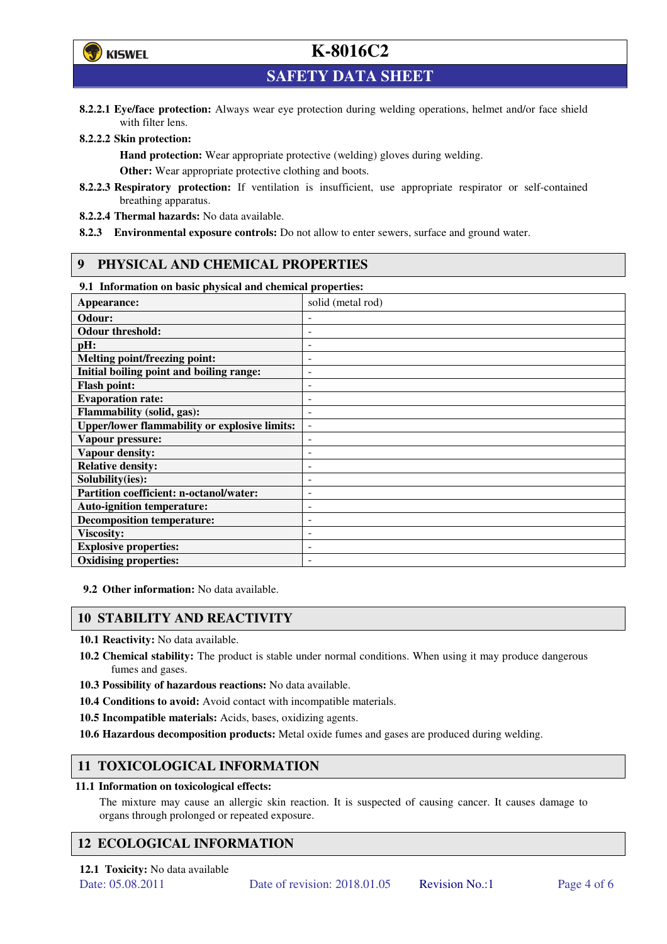

**SAFETY DATA SHEET** 

**8.2.2.1 Eye/face protection:** Always wear eye protection during welding operations, helmet and/or face shield with filter lens.

#### **8.2.2.2 Skin protection:**

**Hand protection:** Wear appropriate protective (welding) gloves during welding. **Other:** Wear appropriate protective clothing and boots.

- **8.2.2.3 Respiratory protection:** If ventilation is insufficient, use appropriate respirator or self-contained breathing apparatus.
- **8.2.2.4 Thermal hazards:** No data available.
- **8.2.3 Environmental exposure controls:** Do not allow to enter sewers, surface and ground water.

#### **9 PHYSICAL AND CHEMICAL PROPERTIES**

#### **9.1 Information on basic physical and chemical properties:**

| эт тигериштери он ошис рнужки ини сисписит ргорегием |                          |
|------------------------------------------------------|--------------------------|
| Appearance:                                          | solid (metal rod)        |
| Odour:                                               |                          |
| <b>Odour threshold:</b>                              |                          |
| pH:                                                  |                          |
| <b>Melting point/freezing point:</b>                 | -                        |
| Initial boiling point and boiling range:             | $\overline{a}$           |
| <b>Flash point:</b>                                  |                          |
| <b>Evaporation rate:</b>                             |                          |
| <b>Flammability (solid, gas):</b>                    |                          |
| <b>Upper/lower flammability or explosive limits:</b> | $\overline{\phantom{a}}$ |
| Vapour pressure:                                     | ۰                        |
| Vapour density:                                      |                          |
| <b>Relative density:</b>                             |                          |
| Solubility(ies):                                     |                          |
| Partition coefficient: n-octanol/water:              | $\overline{a}$           |
| <b>Auto-ignition temperature:</b>                    | ۰                        |
| <b>Decomposition temperature:</b>                    |                          |
| <b>Viscosity:</b>                                    |                          |
| <b>Explosive properties:</b>                         | ٠                        |
| <b>Oxidising properties:</b>                         | -                        |
|                                                      |                          |

**9.2 Other information:** No data available.

#### **10 STABILITY AND REACTIVITY**

**10.1 Reactivity:** No data available.

- **10.2 Chemical stability:** The product is stable under normal conditions. When using it may produce dangerous fumes and gases.
- **10.3 Possibility of hazardous reactions:** No data available.
- **10.4 Conditions to avoid:** Avoid contact with incompatible materials.
- **10.5 Incompatible materials:** Acids, bases, oxidizing agents.
- **10.6 Hazardous decomposition products:** Metal oxide fumes and gases are produced during welding.

### **11 TOXICOLOGICAL INFORMATION**

#### **11.1 Information on toxicological effects:**

The mixture may cause an allergic skin reaction. It is suspected of causing cancer. It causes damage to organs through prolonged or repeated exposure.

### **12 ECOLOGICAL INFORMATION**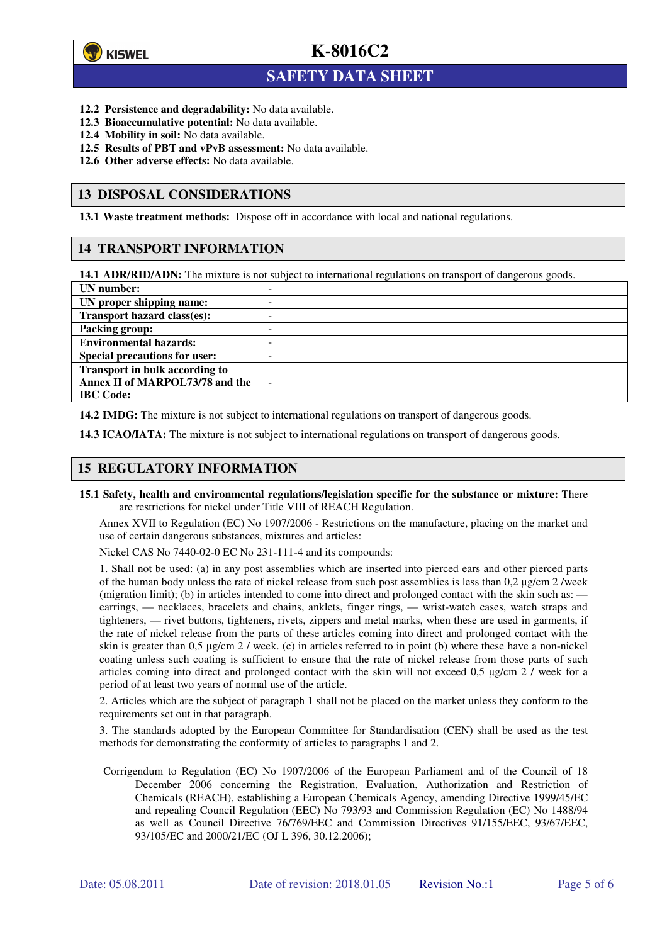

 $\overline{a}$ 

**K-8016C2**

## **SAFETY DATA SHEET**

- **12.2 Persistence and degradability:** No data available.
- **12.3 Bioaccumulative potential:** No data available.
- **12.4 Mobility in soil:** No data available.
- **12.5 Results of PBT and vPvB assessment:** No data available.
- **12.6 Other adverse effects:** No data available.

#### **13 DISPOSAL CONSIDERATIONS**

**13.1 Waste treatment methods:** Dispose off in accordance with local and national regulations.

#### **14 TRANSPORT INFORMATION**

**14.1 ADR/RID/ADN:** The mixture is not subject to international regulations on transport of dangerous goods.

| UN number:                           | - |
|--------------------------------------|---|
| UN proper shipping name:             | - |
| Transport hazard class(es):          | - |
| <b>Packing group:</b>                | - |
| <b>Environmental hazards:</b>        | - |
| <b>Special precautions for user:</b> | - |
| Transport in bulk according to       |   |
| Annex II of MARPOL73/78 and the      | ÷ |
| <b>IBC</b> Code:                     |   |

**14.2 IMDG:** The mixture is not subject to international regulations on transport of dangerous goods.

**14.3 ICAO/IATA:** The mixture is not subject to international regulations on transport of dangerous goods.

### **15 REGULATORY INFORMATION**

**15.1 Safety, health and environmental regulations/legislation specific for the substance or mixture:** There are restrictions for nickel under Title VIII of REACH Regulation.

Annex XVII to Regulation (EC) No 1907/2006 - Restrictions on the manufacture, placing on the market and use of certain dangerous substances, mixtures and articles:

Nickel CAS No 7440-02-0 EC No 231-111-4 and its compounds:

1. Shall not be used: (a) in any post assemblies which are inserted into pierced ears and other pierced parts of the human body unless the rate of nickel release from such post assemblies is less than  $0.2 \mu$ g/cm  $2$ /week (migration limit); (b) in articles intended to come into direct and prolonged contact with the skin such as: earrings, — necklaces, bracelets and chains, anklets, finger rings, — wrist-watch cases, watch straps and tighteners, — rivet buttons, tighteners, rivets, zippers and metal marks, when these are used in garments, if the rate of nickel release from the parts of these articles coming into direct and prolonged contact with the skin is greater than 0,5 µg/cm 2 / week. (c) in articles referred to in point (b) where these have a non-nickel coating unless such coating is sufficient to ensure that the rate of nickel release from those parts of such articles coming into direct and prolonged contact with the skin will not exceed 0,5 µg/cm 2 / week for a period of at least two years of normal use of the article.

2. Articles which are the subject of paragraph 1 shall not be placed on the market unless they conform to the requirements set out in that paragraph.

3. The standards adopted by the European Committee for Standardisation (CEN) shall be used as the test methods for demonstrating the conformity of articles to paragraphs 1 and 2.

Corrigendum to Regulation (EC) No 1907/2006 of the European Parliament and of the Council of 18 December 2006 concerning the Registration, Evaluation, Authorization and Restriction of Chemicals (REACH), establishing a European Chemicals Agency, amending Directive 1999/45/EC and repealing Council Regulation (EEC) No 793/93 and Commission Regulation (EC) No 1488/94 as well as Council Directive 76/769/EEC and Commission Directives 91/155/EEC, 93/67/EEC, 93/105/EC and 2000/21/EC (OJ L 396, 30.12.2006);